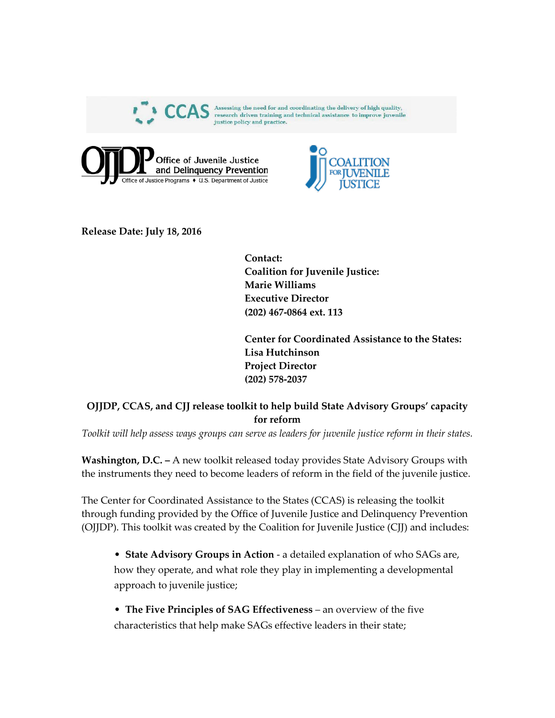





**Release Date: July 18, 2016**

**Contact: Coalition for Juvenile Justice: Marie Williams Executive Director (202) 467-0864 ext. 113**

**Center for Coordinated Assistance to the States: Lisa Hutchinson Project Director (202) 578-2037**

## **OJJDP, CCAS, and CJJ release toolkit to help build State Advisory Groups' capacity for reform**

*Toolkit will help assess ways groups can serve as leaders for juvenile justice reform in their states.*

**Washington, D.C. –** A new toolkit released today provides State Advisory Groups with the instruments they need to become leaders of reform in the field of the juvenile justice.

The Center for Coordinated Assistance to the States (CCAS) is releasing the toolkit through funding provided by the Office of Juvenile Justice and Delinquency Prevention (OJJDP). This toolkit was created by the Coalition for Juvenile Justice (CJJ) and includes:

• **State Advisory Groups in Action** - a detailed explanation of who SAGs are, how they operate, and what role they play in implementing a developmental approach to juvenile justice;

• **The Five Principles of SAG Effectiveness** – an overview of the five characteristics that help make SAGs effective leaders in their state;